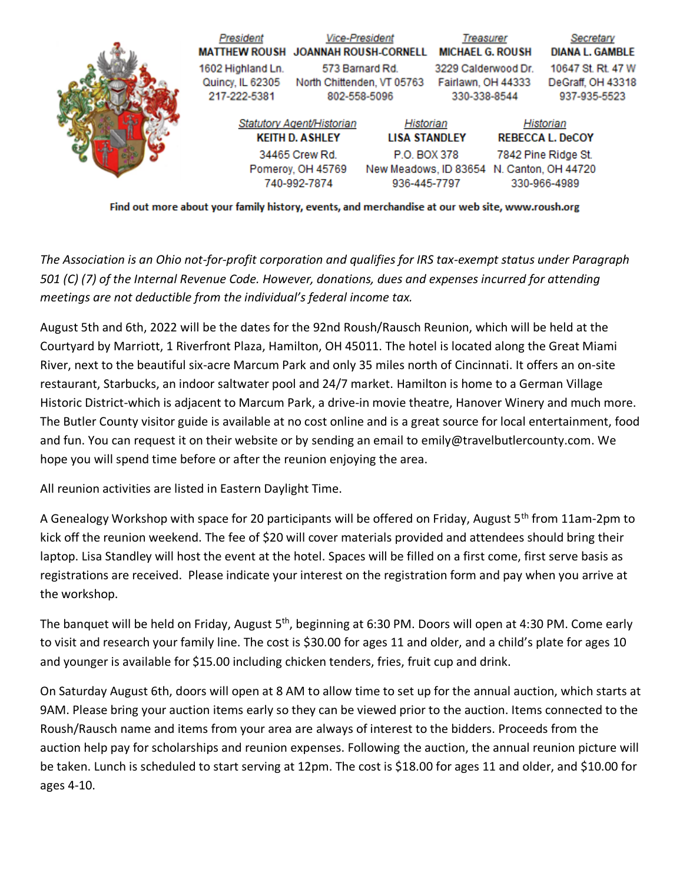

Find out more about your family history, events, and merchandise at our web site, www.roush.org

*The Association is an Ohio not-for-profit corporation and qualifies for IRS tax-exempt status under Paragraph 501 (C) (7) of the Internal Revenue Code. However, donations, dues and expenses incurred for attending meetings are not deductible from the individual's federal income tax.*

August 5th and 6th, 2022 will be the dates for the 92nd Roush/Rausch Reunion, which will be held at the Courtyard by Marriott, 1 Riverfront Plaza, Hamilton, OH 45011. The hotel is located along the Great Miami River, next to the beautiful six-acre Marcum Park and only 35 miles north of Cincinnati. It offers an on-site restaurant, Starbucks, an indoor saltwater pool and 24/7 market. Hamilton is home to a German Village Historic District-which is adjacent to Marcum Park, a drive-in movie theatre, Hanover Winery and much more. The Butler County visitor guide is available at no cost online and is a great source for local entertainment, food and fun. You can request it on their website or by sending an email to emily@travelbutlercounty.com. We hope you will spend time before or after the reunion enjoying the area.

All reunion activities are listed in Eastern Daylight Time.

A Genealogy Workshop with space for 20 participants will be offered on Friday, August 5<sup>th</sup> from 11am-2pm to kick off the reunion weekend. The fee of \$20 will cover materials provided and attendees should bring their laptop. Lisa Standley will host the event at the hotel. Spaces will be filled on a first come, first serve basis as registrations are received. Please indicate your interest on the registration form and pay when you arrive at the workshop.

The banquet will be held on Friday, August 5<sup>th</sup>, beginning at 6:30 PM. Doors will open at 4:30 PM. Come early to visit and research your family line. The cost is \$30.00 for ages 11 and older, and a child's plate for ages 10 and younger is available for \$15.00 including chicken tenders, fries, fruit cup and drink.

On Saturday August 6th, doors will open at 8 AM to allow time to set up for the annual auction, which starts at 9AM. Please bring your auction items early so they can be viewed prior to the auction. Items connected to the Roush/Rausch name and items from your area are always of interest to the bidders. Proceeds from the auction help pay for scholarships and reunion expenses. Following the auction, the annual reunion picture will be taken. Lunch is scheduled to start serving at 12pm. The cost is \$18.00 for ages 11 and older, and \$10.00 for ages 4-10.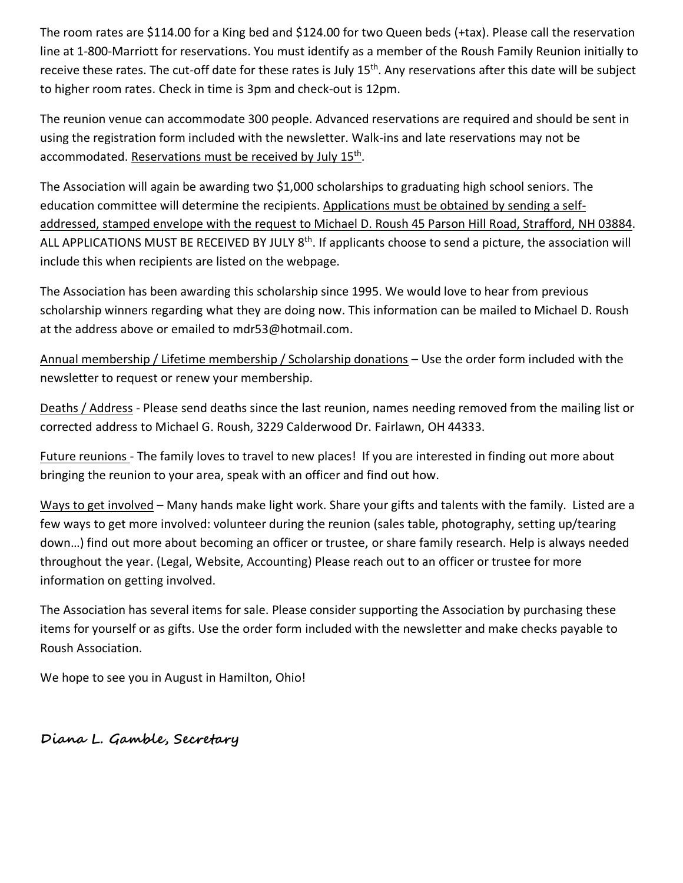The room rates are \$114.00 for a King bed and \$124.00 for two Queen beds (+tax). Please call the reservation line at 1-800-Marriott for reservations. You must identify as a member of the Roush Family Reunion initially to receive these rates. The cut-off date for these rates is July 15<sup>th</sup>. Any reservations after this date will be subject to higher room rates. Check in time is 3pm and check-out is 12pm.

The reunion venue can accommodate 300 people. Advanced reservations are required and should be sent in using the registration form included with the newsletter. Walk-ins and late reservations may not be accommodated. Reservations must be received by July 15<sup>th</sup>.

The Association will again be awarding two \$1,000 scholarships to graduating high school seniors. The education committee will determine the recipients. Applications must be obtained by sending a selfaddressed, stamped envelope with the request to Michael D. Roush 45 Parson Hill Road, Strafford, NH 03884. ALL APPLICATIONS MUST BE RECEIVED BY JULY 8<sup>th</sup>. If applicants choose to send a picture, the association will include this when recipients are listed on the webpage.

The Association has been awarding this scholarship since 1995. We would love to hear from previous scholarship winners regarding what they are doing now. This information can be mailed to Michael D. Roush at the address above or emailed to mdr53@hotmail.com.

Annual membership / Lifetime membership / Scholarship donations – Use the order form included with the newsletter to request or renew your membership.

Deaths / Address - Please send deaths since the last reunion, names needing removed from the mailing list or corrected address to Michael G. Roush, 3229 Calderwood Dr. Fairlawn, OH 44333.

Future reunions - The family loves to travel to new places! If you are interested in finding out more about bringing the reunion to your area, speak with an officer and find out how.

Ways to get involved – Many hands make light work. Share your gifts and talents with the family. Listed are a few ways to get more involved: volunteer during the reunion (sales table, photography, setting up/tearing down…) find out more about becoming an officer or trustee, or share family research. Help is always needed throughout the year. (Legal, Website, Accounting) Please reach out to an officer or trustee for more information on getting involved.

The Association has several items for sale. Please consider supporting the Association by purchasing these items for yourself or as gifts. Use the order form included with the newsletter and make checks payable to Roush Association.

We hope to see you in August in Hamilton, Ohio!

**Diana L. Gamble, Secretary**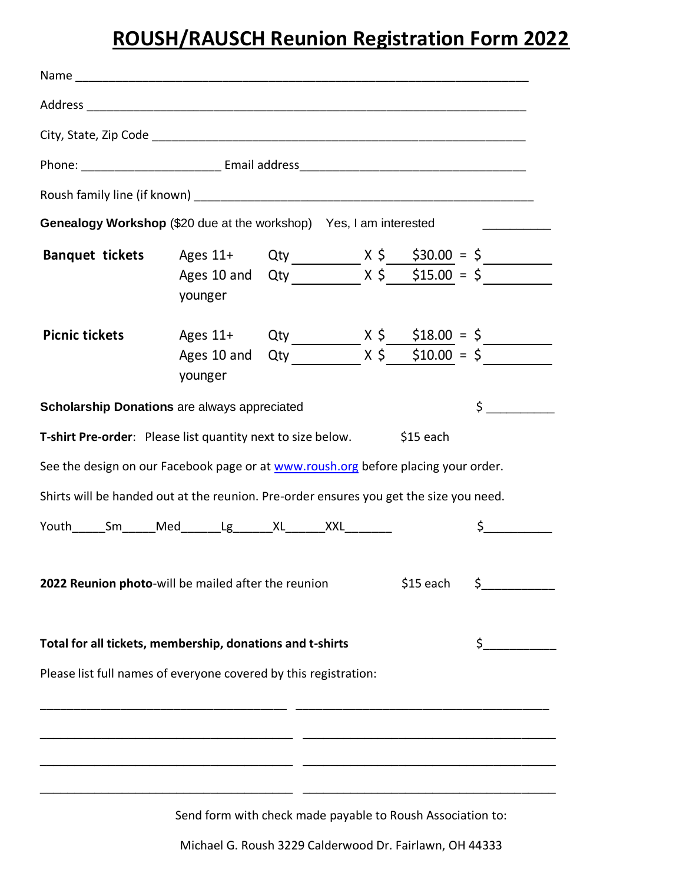## **ROUSH/RAUSCH Reunion Registration Form 2022**

| Genealogy Workshop (\$20 due at the workshop) Yes, I am interested                     |                                                                    |  |  |           |                                                                                                                                                                                                        |  |
|----------------------------------------------------------------------------------------|--------------------------------------------------------------------|--|--|-----------|--------------------------------------------------------------------------------------------------------------------------------------------------------------------------------------------------------|--|
| <b>Banquet tickets</b> Ages 11+ Qty X \$ \$ \$30.00 = \$                               | younger                                                            |  |  |           |                                                                                                                                                                                                        |  |
| <b>Picnic tickets</b>                                                                  | younger                                                            |  |  |           | Ages 11+ Qty $\begin{array}{ c c c c c }\n \hline\n \text{Ages 10 and} & \text{Qty} & \text{X } \text{S} & \text{S18.00 = S} \\ \hline\n X & S & S10.00 & = S & \text{S10.01} \\ \hline\n \end{array}$ |  |
| Scholarship Donations are always appreciated                                           |                                                                    |  |  |           | $\sharp$                                                                                                                                                                                               |  |
| <b>T-shirt Pre-order:</b> Please list quantity next to size below. \$15 each           |                                                                    |  |  |           |                                                                                                                                                                                                        |  |
| See the design on our Facebook page or at www.roush.org before placing your order.     |                                                                    |  |  |           |                                                                                                                                                                                                        |  |
| Shirts will be handed out at the reunion. Pre-order ensures you get the size you need. |                                                                    |  |  |           |                                                                                                                                                                                                        |  |
|                                                                                        |                                                                    |  |  |           | $\frac{1}{2}$                                                                                                                                                                                          |  |
| 2022 Reunion photo-will be mailed after the reunion                                    |                                                                    |  |  | \$15 each | $\mathsf{S}$ and $\mathsf{S}$                                                                                                                                                                          |  |
| Total for all tickets, membership, donations and t-shirts                              |                                                                    |  |  |           | \$.                                                                                                                                                                                                    |  |
| Please list full names of everyone covered by this registration:                       |                                                                    |  |  |           |                                                                                                                                                                                                        |  |
|                                                                                        | <u> 1980 - Jan Barbara Barbara, maska kara bashkar a shekara t</u> |  |  |           |                                                                                                                                                                                                        |  |
|                                                                                        | Send form with check made payable to Roush Association to:         |  |  |           |                                                                                                                                                                                                        |  |

Michael G. Roush 3229 Calderwood Dr. Fairlawn, OH 44333